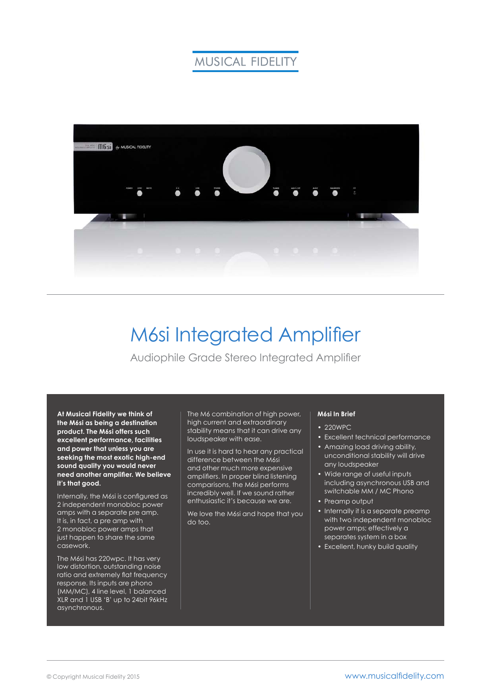# **MUSICAL FIDELITY**



# M6si Integrated Amplifier

Audiophile Grade Stereo Integrated Amplifier

**At Musical Fidelity we think of the M6si as being a destination product. The M6si offers such excellent performance, facilities and power that unless you are seeking the most exotic high-end sound quality you would never need another amplifier. We believe it's that good.**

Internally, the M6si is configured as 2 independent monobloc power amps with a separate pre amp. It is, in fact, a pre amp with 2 monobloc power amps that just happen to share the same casework.

The M6si has 220wpc. It has very low distortion, outstanding noise ratio and extremely flat frequency response. Its inputs are phono (MM/MC), 4 line level, 1 balanced XLR and 1 USB 'B' up to 24bit 96kHz asynchronous.

The M6 combination of high power, high current and extraordinary stability means that it can drive any loudspeaker with ease.

In use it is hard to hear any practical difference between the M6si and other much more expensive amplifiers. In proper blind listening comparisons, the M6si performs incredibly well. If we sound rather enthusiastic it's because we are.

We love the M6si and hope that you do too.

### **M6si In Brief**

- 220WPC
- Excellent technical performance • Amazing load driving ability,
- unconditional stability will drive any loudspeaker
- Wide range of useful inputs including asynchronous USB and switchable MM / MC Phono
- Preamp output
- Internally it is a separate preamp with two independent monobloc power amps; effectively a separates system in a box
- Excellent, hunky build quality